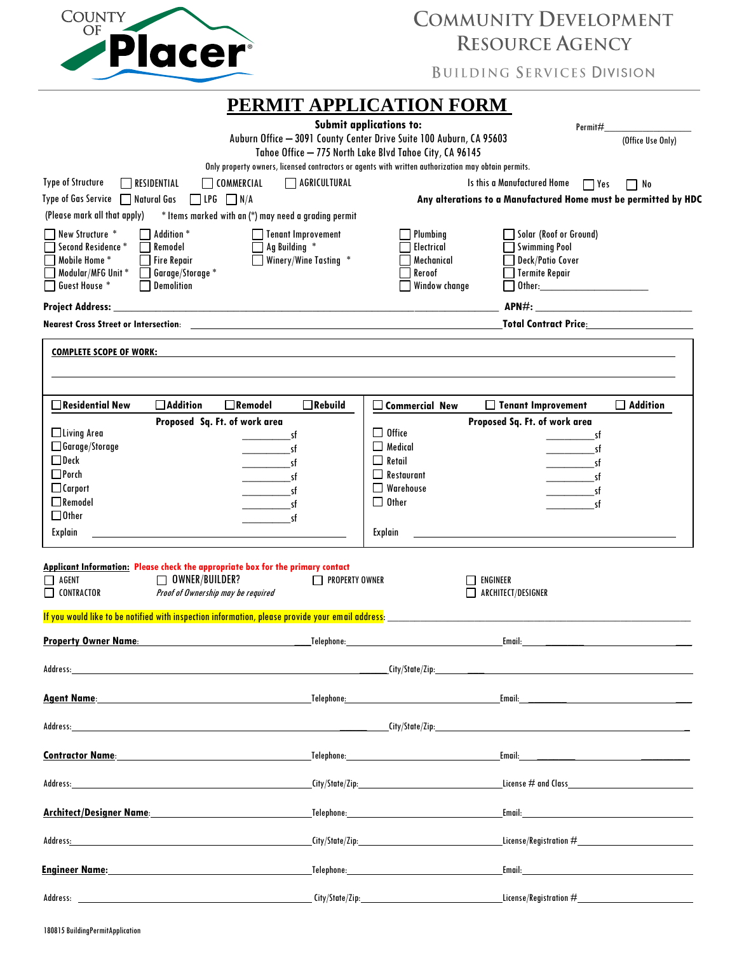| <b>COUNTY</b> |             |
|---------------|-------------|
|               |             |
|               | Piacei<br>r |
|               |             |

# COMMUNITY DEVELOPMENT **RESOURCE AGENCY**

**BUILDING SERVICES DIVISION** 

|                                                                                                                                                                                                                                |                       | PERMIT APPLICATION FORM                                                                             |                                                                                                                                                                                                                                |                   |
|--------------------------------------------------------------------------------------------------------------------------------------------------------------------------------------------------------------------------------|-----------------------|-----------------------------------------------------------------------------------------------------|--------------------------------------------------------------------------------------------------------------------------------------------------------------------------------------------------------------------------------|-------------------|
|                                                                                                                                                                                                                                |                       | <b>Submit applications to:</b>                                                                      | Permit#                                                                                                                                                                                                                        |                   |
|                                                                                                                                                                                                                                |                       | Auburn Office - 3091 County Center Drive Suite 100 Auburn, CA 95603                                 |                                                                                                                                                                                                                                | (Office Use Only) |
|                                                                                                                                                                                                                                |                       | Tahoe Office - 775 North Lake Blvd Tahoe City, CA 96145                                             |                                                                                                                                                                                                                                |                   |
|                                                                                                                                                                                                                                |                       | Only property owners, licensed contractors or agents with written authorization may obtain permits. |                                                                                                                                                                                                                                |                   |
| <b>Type of Structure</b><br>$\neg$ residential<br><b>COMMERCIAL</b>                                                                                                                                                            | AGRICULTURAL          |                                                                                                     | Is this a Manufactured Home<br>$\Box$ Yes                                                                                                                                                                                      | $\Box$ No         |
| Type of Gas Service   Natural Gas<br>N/A<br>$\Box$ LPG                                                                                                                                                                         |                       |                                                                                                     | Any alterations to a Manufactured Home must be permitted by HDC                                                                                                                                                                |                   |
| (Please mark all that apply)<br>* Items marked with an (*) may need a grading permit                                                                                                                                           |                       |                                                                                                     |                                                                                                                                                                                                                                |                   |
| New Structure *<br>Addition <sup>*</sup>                                                                                                                                                                                       | Tenant Improvement    | Plumbina                                                                                            | Solar (Roof or Ground)                                                                                                                                                                                                         |                   |
| Second Residence *<br>Remodel                                                                                                                                                                                                  | Ag Building *         | Electrical                                                                                          | <b>Swimming Pool</b>                                                                                                                                                                                                           |                   |
| Mobile Home *<br><b>Fire Repair</b>                                                                                                                                                                                            | Winery/Wine Tasting * | Mechanical                                                                                          | Deck/Patio Cover                                                                                                                                                                                                               |                   |
| Modular/MFG Unit*<br>Garage/Storage *                                                                                                                                                                                          |                       | Reroof                                                                                              | <b>Termite Repair</b>                                                                                                                                                                                                          |                   |
| Guest House *<br><b>Demolition</b>                                                                                                                                                                                             |                       | Window change                                                                                       |                                                                                                                                                                                                                                |                   |
| <b>Project Address:</b><br><u> 1980 - Jan Barat, margaret eta biztanleria (h. 1980).</u>                                                                                                                                       |                       |                                                                                                     |                                                                                                                                                                                                                                |                   |
|                                                                                                                                                                                                                                |                       |                                                                                                     | <b>Total Contract Price:</b> The Contract Price:                                                                                                                                                                               |                   |
| <b>COMPLETE SCOPE OF WORK:</b>                                                                                                                                                                                                 |                       |                                                                                                     |                                                                                                                                                                                                                                |                   |
|                                                                                                                                                                                                                                |                       |                                                                                                     |                                                                                                                                                                                                                                |                   |
|                                                                                                                                                                                                                                |                       |                                                                                                     |                                                                                                                                                                                                                                |                   |
| $\Box$ Residential New<br>$\Box$ Addition<br>$\Box$ Remodel                                                                                                                                                                    | $\Box$ Rebuild        | $\Box$ Commercial New                                                                               | □ Tenant Improvement                                                                                                                                                                                                           | $\Box$ Addition   |
| Proposed Sq. Ft. of work area<br>$\Box$ Living Area                                                                                                                                                                            |                       | $\Box$ Office                                                                                       | Proposed Sq. Ft. of work area                                                                                                                                                                                                  |                   |
| □ Garage/Storage<br>$\overline{\qquad \qquad }$ sf                                                                                                                                                                             |                       | $\Box$ Medical                                                                                      | -st<br>_sf                                                                                                                                                                                                                     |                   |
| $\Box$ Deck                                                                                                                                                                                                                    | <b>sf</b>             | $\Box$ Retail                                                                                       | sf                                                                                                                                                                                                                             |                   |
| $\Box$ Porch                                                                                                                                                                                                                   | sf                    | $\Box$ Restaurant                                                                                   | sf                                                                                                                                                                                                                             |                   |
| $\Box$ Carport                                                                                                                                                                                                                 | sf                    | $\Box$ Warehouse                                                                                    | sf                                                                                                                                                                                                                             |                   |
| $\Box$ Remodel                                                                                                                                                                                                                 | sf                    | $\Box$ Other                                                                                        | sf                                                                                                                                                                                                                             |                   |
| $\Box$ Other                                                                                                                                                                                                                   | sf                    |                                                                                                     |                                                                                                                                                                                                                                |                   |
| Explain                                                                                                                                                                                                                        |                       | Explain                                                                                             |                                                                                                                                                                                                                                |                   |
|                                                                                                                                                                                                                                |                       |                                                                                                     |                                                                                                                                                                                                                                |                   |
| Applicant Information: Please check the appropriate box for the primary contact                                                                                                                                                |                       |                                                                                                     |                                                                                                                                                                                                                                |                   |
| AGENT<br>$\Box$ OWNER/BUILDER?<br>$\Box$                                                                                                                                                                                       | PROPERTY OWNER        |                                                                                                     | ENGINEER                                                                                                                                                                                                                       |                   |
| $\Box$ CONTRACTOR<br>Proof of Ownership may be required                                                                                                                                                                        |                       |                                                                                                     | $\Box$ ARCHITECT/DESIGNER                                                                                                                                                                                                      |                   |
| If you would like to be notified with inspection information, please provide your email address:                                                                                                                               |                       |                                                                                                     |                                                                                                                                                                                                                                |                   |
|                                                                                                                                                                                                                                |                       |                                                                                                     |                                                                                                                                                                                                                                |                   |
| $\textsf{Address:}\textcolor{red}{\textsf{[div]}\textsf{State}(\textsf{Zip:}\textcolor{red}{\textsf{[line]}}}.$                                                                                                                |                       |                                                                                                     |                                                                                                                                                                                                                                |                   |
|                                                                                                                                                                                                                                |                       |                                                                                                     |                                                                                                                                                                                                                                |                   |
|                                                                                                                                                                                                                                |                       |                                                                                                     |                                                                                                                                                                                                                                |                   |
|                                                                                                                                                                                                                                |                       |                                                                                                     |                                                                                                                                                                                                                                |                   |
| <b>Contractor Name:</b> Contractor Name:                                                                                                                                                                                       |                       |                                                                                                     | Telephone: the contract of the contract of the contract of the contract of the contract of the contract of the contract of the contract of the contract of the contract of the contract of the contract of the contract of the |                   |
| Address: No. 2014 19:30 No. 2014 19:30 No. 2014 19:30 No. 2014 19:30 No. 2014 19:30 No. 2014 19:30 No. 2014 19:30 No. 2014 19:30 No. 2014 19:30 No. 2014 19:30 No. 2014 19:30 No. 2014 19:30 No. 2014 19:30 No. 2014 19:30 No. |                       |                                                                                                     |                                                                                                                                                                                                                                |                   |
| <u>Architect/Designer Name: Name: Name: Name: Name: Name: Name: Name: Name: Name: Name: Name: Name: Name: Name: N</u>                                                                                                          |                       |                                                                                                     |                                                                                                                                                                                                                                |                   |
|                                                                                                                                                                                                                                |                       |                                                                                                     |                                                                                                                                                                                                                                |                   |
|                                                                                                                                                                                                                                |                       |                                                                                                     |                                                                                                                                                                                                                                |                   |
| Engineer Name: Northern Management of the Contract of the Contract of Telephone: Name of the Contract of the Contract of the Contract of Telephone: Name of the Contract of the Contract of the Contract of the Contract of th |                       |                                                                                                     |                                                                                                                                                                                                                                |                   |
|                                                                                                                                                                                                                                |                       |                                                                                                     |                                                                                                                                                                                                                                |                   |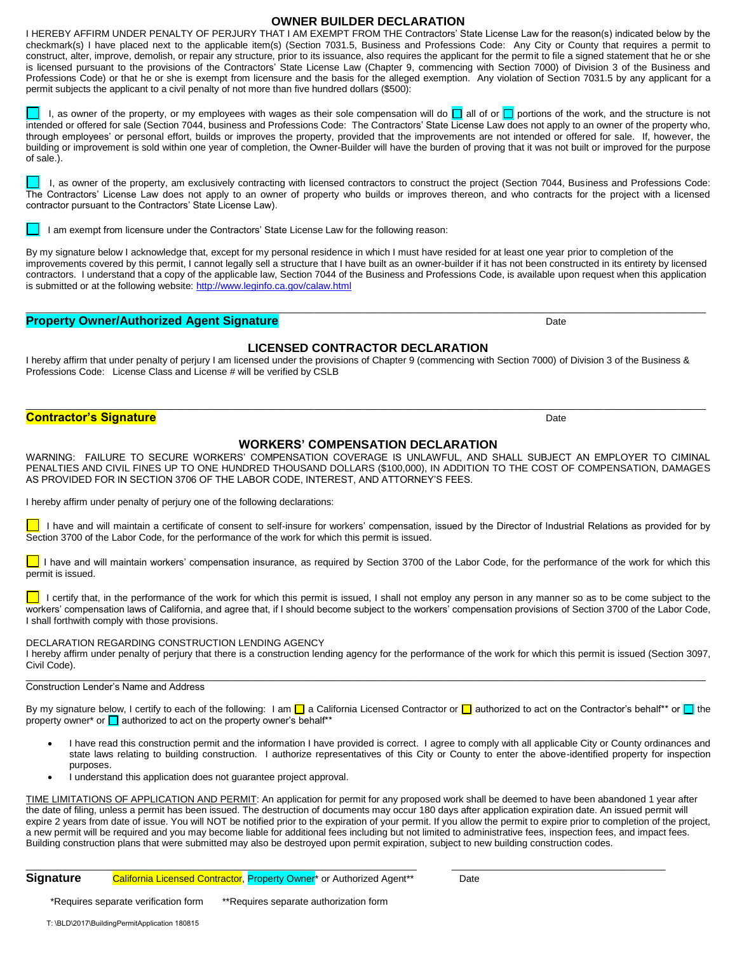### **OWNER BUILDER DECLARATION**

I HEREBY AFFIRM UNDER PENALTY OF PERJURY THAT I AM EXEMPT FROM THE Contractors' State License Law for the reason(s) indicated below by the checkmark(s) I have placed next to the applicable item(s) (Section 7031.5, Business and Professions Code: Any City or County that requires a permit to construct, alter, improve, demolish, or repair any structure, prior to its issuance, also requires the applicant for the permit to file a signed statement that he or she is licensed pursuant to the provisions of the Contractors' State License Law (Chapter 9, commencing with Section 7000) of Division 3 of the Business and Professions Code) or that he or she is exempt from licensure and the basis for the alleged exemption. Any violation of Section 7031.5 by any applicant for a permit subjects the applicant to a civil penalty of not more than five hundred dollars (\$500):

I, as owner of the property, or my employees with wages as their sole compensation will do  $\Box$  all of or  $\Box$  portions of the work, and the structure is not intended or offered for sale (Section 7044, business and Professions Code: The Contractors' State License Law does not apply to an owner of the property who, through employees' or personal effort, builds or improves the property, provided that the improvements are not intended or offered for sale. If, however, the building or improvement is sold within one year of completion, the Owner-Builder will have the burden of proving that it was not built or improved for the purpose of sale.).

I, as owner of the property, am exclusively contracting with licensed contractors to construct the project (Section 7044, Business and Professions Code: The Contractors' License Law does not apply to an owner of property who builds or improves thereon, and who contracts for the project with a licensed contractor pursuant to the Contractors' State License Law).

I am exempt from licensure under the Contractors' State License Law for the following reason:

By my signature below I acknowledge that, except for my personal residence in which I must have resided for at least one year prior to completion of the improvements covered by this permit, I cannot legally sell a structure that I have built as an owner-builder if it has not been constructed in its entirety by licensed contractors. I understand that a copy of the applicable law, Section 7044 of the Business and Professions Code, is available upon request when this application is submitted or at the following website: http://www.leginfo.ca.gov/calaw.html

\_\_\_\_\_\_\_\_\_\_\_\_\_\_\_\_\_\_\_\_\_\_\_\_\_\_\_\_\_\_\_\_\_\_\_\_\_\_\_\_\_\_\_\_\_\_\_\_\_\_\_\_\_\_\_\_\_\_\_\_\_\_\_\_\_\_\_\_\_\_\_\_\_\_\_\_\_\_\_\_\_\_\_\_\_\_\_\_\_\_\_\_\_\_\_\_\_\_\_\_\_\_\_\_\_\_\_\_\_\_\_\_\_\_\_\_\_\_\_\_\_\_\_\_\_\_\_

# **Property Owner/Authorized Agent Signature Date of Contract Contract Contract Contract Contract Contract Contract Contract Contract Contract Contract Contract Contract Contract Contract Contract Contract Contract Contrac**

# **LICENSED CONTRACTOR DECLARATION**

I hereby affirm that under penalty of perjury I am licensed under the provisions of Chapter 9 (commencing with Section 7000) of Division 3 of the Business & Professions Code: License Class and License # will be verified by CSLB

# **Contractor's Signature Access of the Contractor's Signature** Date

# **WORKERS' COMPENSATION DECLARATION**

\_\_\_\_\_\_\_\_\_\_\_\_\_\_\_\_\_\_\_\_\_\_\_\_\_\_\_\_\_\_\_\_\_\_\_\_\_\_\_\_\_\_\_\_\_\_\_\_\_\_\_\_\_\_\_\_\_\_\_\_\_\_\_\_\_\_\_\_\_\_\_\_\_\_\_\_\_\_\_\_\_\_\_\_\_\_\_\_\_\_\_\_\_\_\_\_\_\_\_\_\_\_\_\_\_\_\_\_\_\_\_\_\_\_\_\_\_\_\_\_\_\_\_\_\_\_\_

WARNING: FAILURE TO SECURE WORKERS' COMPENSATION COVERAGE IS UNLAWFUL, AND SHALL SUBJECT AN EMPLOYER TO CIMINAL PENALTIES AND CIVIL FINES UP TO ONE HUNDRED THOUSAND DOLLARS (\$100,000), IN ADDITION TO THE COST OF COMPENSATION, DAMAGES AS PROVIDED FOR IN SECTION 3706 OF THE LABOR CODE, INTEREST, AND ATTORNEY'S FEES.

I hereby affirm under penalty of perjury one of the following declarations:

 I have and will maintain a certificate of consent to self-insure for workers' compensation, issued by the Director of Industrial Relations as provided for by Section 3700 of the Labor Code, for the performance of the work for which this permit is issued.

I have and will maintain workers' compensation insurance, as required by Section 3700 of the Labor Code, for the performance of the work for which this permit is issued.

I certify that, in the performance of the work for which this permit is issued, I shall not employ any person in any manner so as to be come subject to the workers' compensation laws of California, and agree that, if I should become subject to the workers' compensation provisions of Section 3700 of the Labor Code, I shall forthwith comply with those provisions.

#### DECLARATION REGARDING CONSTRUCTION LENDING AGENCY

I hereby affirm under penalty of perjury that there is a construction lending agency for the performance of the work for which this permit is issued (Section 3097, Civil Code).

#### $\_$  , and the set of the set of the set of the set of the set of the set of the set of the set of the set of the set of the set of the set of the set of the set of the set of the set of the set of the set of the set of th Construction Lender's Name and Address

By my signature below, I certify to each of the following: I am  $\Box$  a California Licensed Contractor or  $\Box$  authorized to act on the Contractor's behalf\*\* or  $\Box$  the property owner\* or  $\Box$  authorized to act on the property owner's behalf\*\*

- I have read this construction permit and the information I have provided is correct. I agree to comply with all applicable City or County ordinances and state laws relating to building construction. I authorize representatives of this City or County to enter the above-identified property for inspection purposes.
- I understand this application does not guarantee project approval.

TIME LIMITATIONS OF APPLICATION AND PERMIT: An application for permit for any proposed work shall be deemed to have been abandoned 1 year after the date of filing, unless a permit has been issued. The destruction of documents may occur 180 days after application expiration date. An issued permit will expire 2 years from date of issue. You will NOT be notified prior to the expiration of your permit. If you allow the permit to expire prior to completion of the project, a new permit will be required and you may become liable for additional fees including but not limited to administrative fees, inspection fees, and impact fees. Building construction plans that were submitted may also be destroyed upon permit expiration, subject to new building construction codes.

 $\_$  , and the set of the set of the set of the set of the set of the set of the set of the set of the set of the set of the set of the set of the set of the set of the set of the set of the set of the set of the set of th

### **Signature** California Licensed Contractor, Property Owner<sup>\*</sup> or Authorized Agent<sup>\*\*</sup> Date

\*Requires separate verification form \*\*Requires separate authorization form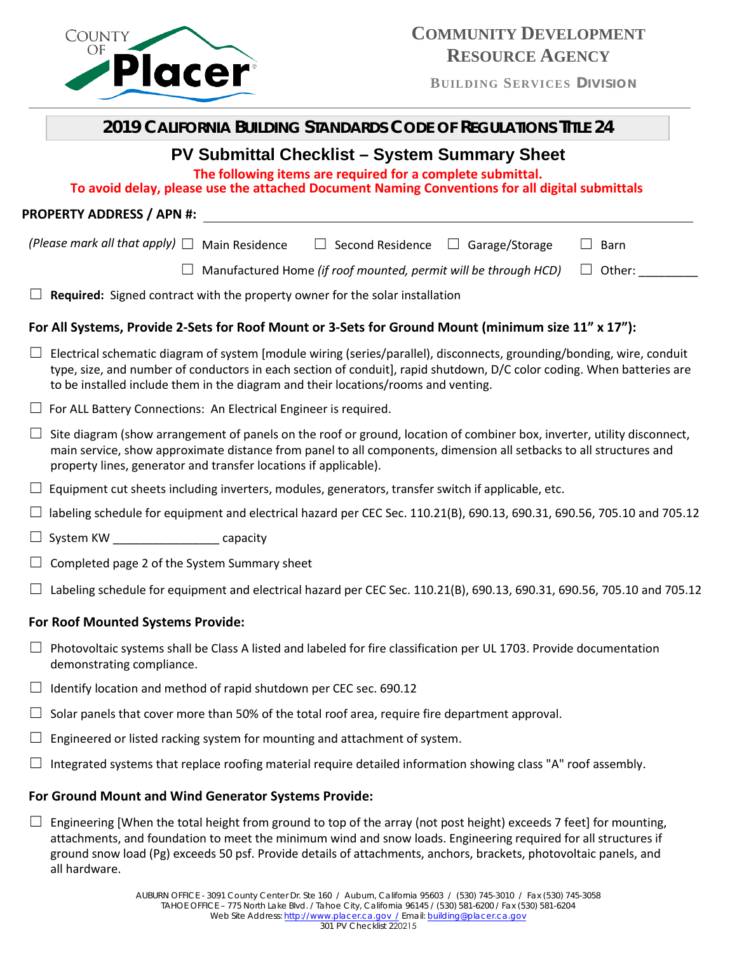

**BUILDING SERVICES DIVISION**

| <b>2019 CALIFORNIA BUILDING STANDARDS CODE OF REGULATIONS TITLE 24</b>                                                                                                                                                                                                                                                                 |  |  |  |  |
|----------------------------------------------------------------------------------------------------------------------------------------------------------------------------------------------------------------------------------------------------------------------------------------------------------------------------------------|--|--|--|--|
| <b>PV Submittal Checklist - System Summary Sheet</b><br>The following items are required for a complete submittal.<br>To avoid delay, please use the attached Document Naming Conventions for all digital submittals                                                                                                                   |  |  |  |  |
| PROPERTY ADDRESS / APN #: North and the control of the control of the control of the control of the control of the control of the control of the control of the control of the control of the control of the control of the co                                                                                                         |  |  |  |  |
| (Please mark all that apply) $\Box$ Main Residence<br>$\Box$ Second Residence $\Box$ Garage/Storage<br>Barn                                                                                                                                                                                                                            |  |  |  |  |
| Manufactured Home (if roof mounted, permit will be through HCD)<br>$\Box$ Other:                                                                                                                                                                                                                                                       |  |  |  |  |
| Required: Signed contract with the property owner for the solar installation                                                                                                                                                                                                                                                           |  |  |  |  |
| For All Systems, Provide 2-Sets for Roof Mount or 3-Sets for Ground Mount (minimum size 11" x 17"):                                                                                                                                                                                                                                    |  |  |  |  |
| Electrical schematic diagram of system [module wiring (series/parallel), disconnects, grounding/bonding, wire, conduit<br>type, size, and number of conductors in each section of conduit], rapid shutdown, D/C color coding. When batteries are<br>to be installed include them in the diagram and their locations/rooms and venting. |  |  |  |  |
| $\Box$ For ALL Battery Connections: An Electrical Engineer is required.                                                                                                                                                                                                                                                                |  |  |  |  |
| Site diagram (show arrangement of panels on the roof or ground, location of combiner box, inverter, utility disconnect,<br>main service, show approximate distance from panel to all components, dimension all setbacks to all structures and<br>property lines, generator and transfer locations if applicable).                      |  |  |  |  |
| Equipment cut sheets including inverters, modules, generators, transfer switch if applicable, etc.                                                                                                                                                                                                                                     |  |  |  |  |
| labeling schedule for equipment and electrical hazard per CEC Sec. 110.21(B), 690.13, 690.31, 690.56, 705.10 and 705.12                                                                                                                                                                                                                |  |  |  |  |
| System KW capacity<br>$\Box$                                                                                                                                                                                                                                                                                                           |  |  |  |  |
| Completed page 2 of the System Summary sheet                                                                                                                                                                                                                                                                                           |  |  |  |  |
| Labeling schedule for equipment and electrical hazard per CEC Sec. 110.21(B), 690.13, 690.31, 690.56, 705.10 and 705.12                                                                                                                                                                                                                |  |  |  |  |
| For Roof Mounted Systems Provide:                                                                                                                                                                                                                                                                                                      |  |  |  |  |
| Photovoltaic systems shall be Class A listed and labeled for fire classification per UL 1703. Provide documentation<br>demonstrating compliance.                                                                                                                                                                                       |  |  |  |  |

- $\Box$  Identify location and method of rapid shutdown per CEC sec. 690.12
- $\Box$  Solar panels that cover more than 50% of the total roof area, require fire department approval.
- $\Box$  Engineered or listed racking system for mounting and attachment of system.
- $\Box$  Integrated systems that replace roofing material require detailed information showing class "A" roof assembly.

# **For Ground Mount and Wind Generator Systems Provide:**

 $\Box$  Engineering [When the total height from ground to top of the array (not post height) exceeds 7 feet] for mounting, attachments, and foundation to meet the minimum wind and snow loads. Engineering required for all structures if ground snow load (Pg) exceeds 50 psf. Provide details of attachments, anchors, brackets, photovoltaic panels, and all hardware.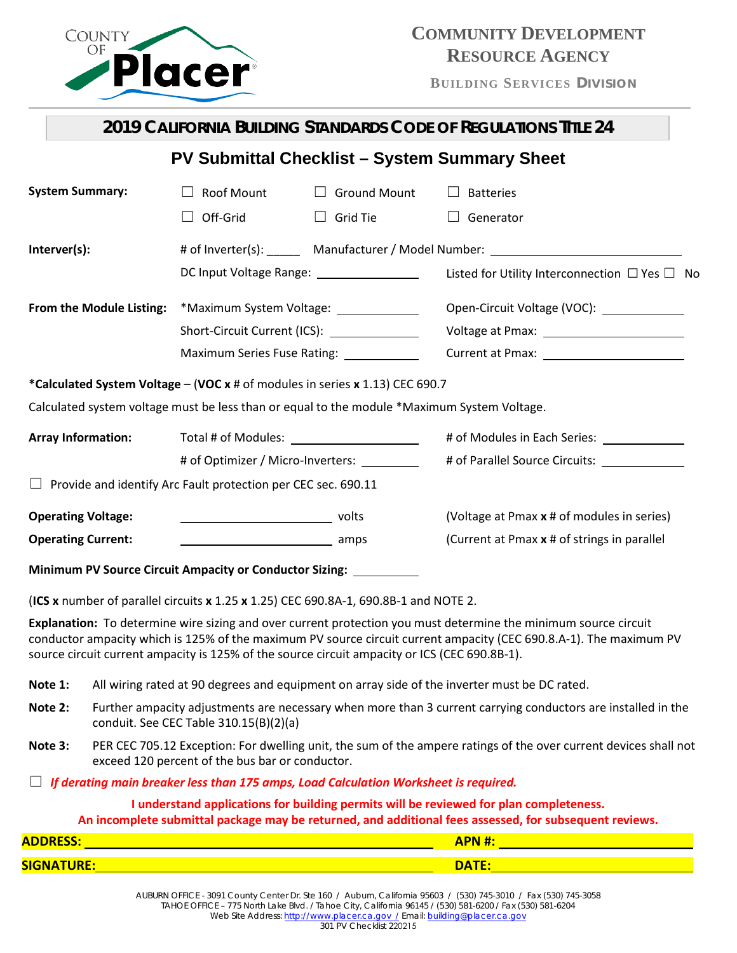

# **COMMUNITY DEVELOPMENT RESOURCE AGENCY**

**BUILDING SERVICES DIVISION**

|                                                                                                                                                                                                                                                                                                                                        | 2019 CALIFORNIA BUILDING STANDARDS CODE OF REGULATIONS TITLE 24                  |                     |                                                                                              |  |
|----------------------------------------------------------------------------------------------------------------------------------------------------------------------------------------------------------------------------------------------------------------------------------------------------------------------------------------|----------------------------------------------------------------------------------|---------------------|----------------------------------------------------------------------------------------------|--|
| <b>PV Submittal Checklist - System Summary Sheet</b>                                                                                                                                                                                                                                                                                   |                                                                                  |                     |                                                                                              |  |
| <b>System Summary:</b>                                                                                                                                                                                                                                                                                                                 | Roof Mount                                                                       | $\Box$ Ground Mount | <b>Batteries</b><br>$\Box$                                                                   |  |
|                                                                                                                                                                                                                                                                                                                                        | Off-Grid                                                                         | $\Box$ Grid Tie     | Generator                                                                                    |  |
| Interver(s):                                                                                                                                                                                                                                                                                                                           | # of Inverter(s): Manufacturer / Model Number: _________________________________ |                     |                                                                                              |  |
|                                                                                                                                                                                                                                                                                                                                        | DC Input Voltage Range: __________________                                       |                     | Listed for Utility Interconnection $\Box$ Yes $\Box$ No                                      |  |
| From the Module Listing:                                                                                                                                                                                                                                                                                                               | *Maximum System Voltage: _____________                                           |                     | Open-Circuit Voltage (VOC): ______________                                                   |  |
|                                                                                                                                                                                                                                                                                                                                        | Short-Circuit Current (ICS): ______________                                      |                     |                                                                                              |  |
|                                                                                                                                                                                                                                                                                                                                        | Maximum Series Fuse Rating: ____________                                         |                     |                                                                                              |  |
| *Calculated System Voltage - (VOC x # of modules in series x 1.13) CEC 690.7                                                                                                                                                                                                                                                           |                                                                                  |                     |                                                                                              |  |
| Calculated system voltage must be less than or equal to the module *Maximum System Voltage.                                                                                                                                                                                                                                            |                                                                                  |                     |                                                                                              |  |
| <b>Array Information:</b>                                                                                                                                                                                                                                                                                                              | Total # of Modules: Total # of Modules:                                          |                     | # of Modules in Each Series: _______________                                                 |  |
|                                                                                                                                                                                                                                                                                                                                        | # of Optimizer / Micro-Inverters: _________                                      |                     | # of Parallel Source Circuits: ______________                                                |  |
|                                                                                                                                                                                                                                                                                                                                        | Provide and identify Arc Fault protection per CEC sec. 690.11                    |                     |                                                                                              |  |
| <b>Operating Voltage:</b>                                                                                                                                                                                                                                                                                                              |                                                                                  |                     | (Voltage at Pmax x # of modules in series)                                                   |  |
| <b>Operating Current:</b>                                                                                                                                                                                                                                                                                                              | amps amps                                                                        |                     | (Current at Pmax x # of strings in parallel                                                  |  |
| Minimum PV Source Circuit Ampacity or Conductor Sizing: __________                                                                                                                                                                                                                                                                     |                                                                                  |                     |                                                                                              |  |
| (ICS x number of parallel circuits x 1.25 x 1.25) CEC 690.8A-1, 690.8B-1 and NOTE 2.                                                                                                                                                                                                                                                   |                                                                                  |                     |                                                                                              |  |
| Explanation: To determine wire sizing and over current protection you must determine the minimum source circuit<br>conductor ampacity which is 125% of the maximum PV source circuit current ampacity (CEC 690.8.A-1). The maximum PV<br>source circuit current ampacity is 125% of the source circuit ampacity or ICS (CEC 690.8B-1). |                                                                                  |                     |                                                                                              |  |
| Note 1:                                                                                                                                                                                                                                                                                                                                |                                                                                  |                     | All wiring rated at 90 degrees and equipment on array side of the inverter must be DC rated. |  |
| Further ampacity adjustments are necessary when more than 3 current carrying conductors are installed in the<br>Note 2:<br>conduit. See CEC Table 310.15(B)(2)(a)                                                                                                                                                                      |                                                                                  |                     |                                                                                              |  |
| PER CEC 705.12 Exception: For dwelling unit, the sum of the ampere ratings of the over current devices shall not<br>Note 3:<br>exceed 120 percent of the bus bar or conductor.                                                                                                                                                         |                                                                                  |                     |                                                                                              |  |
| If derating main breaker less than 175 amps, Load Calculation Worksheet is required.                                                                                                                                                                                                                                                   |                                                                                  |                     |                                                                                              |  |
| I understand applications for building permits will be reviewed for plan completeness.<br>An incomplete submittal package may be returned, and additional fees assessed, for subsequent reviews.                                                                                                                                       |                                                                                  |                     |                                                                                              |  |
|                                                                                                                                                                                                                                                                                                                                        |                                                                                  |                     |                                                                                              |  |
|                                                                                                                                                                                                                                                                                                                                        |                                                                                  |                     |                                                                                              |  |
|                                                                                                                                                                                                                                                                                                                                        |                                                                                  |                     |                                                                                              |  |